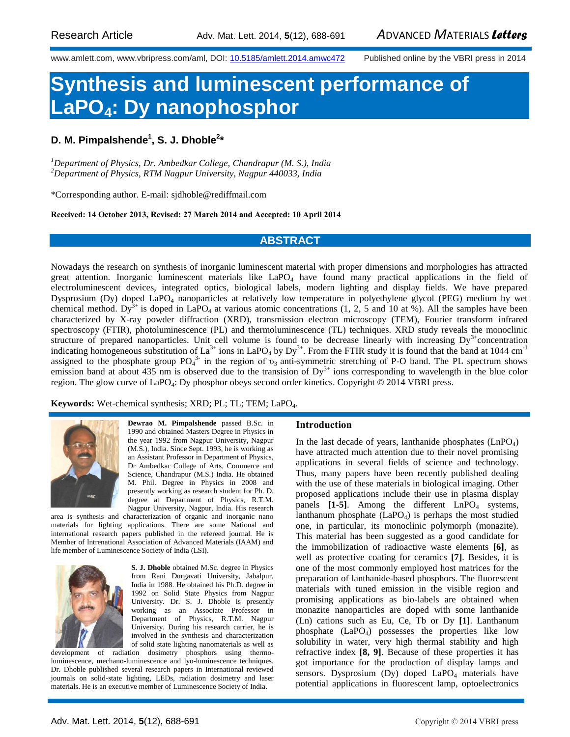www.amlett.com, www.vbripress.com/aml, DOI: [10.5185/amlett.2014.amwc472](http://dx.doi.org/10.5185/amlett.2014.amwc432) Published online by the VBRI press in 2014

# **Synthesis and luminescent performance of LaPO4: Dy nanophosphor**

## **D. M. Pimpalshende<sup>1</sup> , S. J. Dhoble<sup>2</sup> \***

*<sup>1</sup>Department of Physics, Dr. Ambedkar College, Chandrapur (M. S.), India <sup>2</sup>Department of Physics, RTM Nagpur University, Nagpur 440033, India*

\*Corresponding author. E-mail: [sjdhoble@rediffmail.com](mailto:sjdhoble@rediffmail.com)

**Received: 14 October 2013, Revised: 27 March 2014 and Accepted: 10 April 2014**

### **ABSTRACT**

Nowadays the research on synthesis of inorganic luminescent material with proper dimensions and morphologies has attracted great attention. Inorganic luminescent materials like  $LaPO<sub>4</sub>$  have found many practical applications in the field of electroluminescent devices, integrated optics, biological labels, modern lighting and display fields. We have prepared Dysprosium (Dy) doped LaPO<sub>4</sub> nanoparticles at relatively low temperature in polyethylene glycol (PEG) medium by wet chemical method. Dy<sup>3+</sup> is doped in LaPO<sub>4</sub> at various atomic concentrations (1, 2, 5 and 10 at %). All the samples have been characterized by X-ray powder diffraction (XRD), transmission electron microscopy (TEM), Fourier transform infrared spectroscopy (FTIR), photoluminescence (PL) and thermoluminescence (TL) techniques. XRD study reveals the monoclinic structure of prepared nanoparticles. Unit cell volume is found to be decrease linearly with increasing  $Dy<sup>3+</sup>$ concentration indicating homogeneous substitution of La<sup>3+</sup> ions in LaPO<sub>4</sub> by Dy<sup>3+</sup>. From the FTIR study it is found that the band at 1044 cm<sup>-1</sup> assigned to the phosphate group  $PO_4^{3-}$  in the region of  $v_3$  anti-symmetric stretching of P-O band. The PL spectrum shows emission band at about 435 nm is observed due to the transision of  $Dy<sup>3+</sup>$  ions corresponding to wavelength in the blue color region. The glow curve of LaPO<sub>4</sub>: Dy phosphor obeys second order kinetics. Copyright © 2014 VBRI press.

**Keywords:** Wet-chemical synthesis; XRD; PL; TL; TEM; LaPO4.



**Dewrao M. Pimpalshende** passed B.Sc. in 1990 and obtained Masters Degree in Physics in the year 1992 from Nagpur University, Nagpur (M.S.), India. Since Sept. 1993, he is working as an Assistant Professor in Department of Physics, Dr Ambedkar College of Arts, Commerce and Science, Chandrapur (M.S.) India. He obtained M. Phil. Degree in Physics in 2008 and presently working as research student for Ph. D. degree at Department of Physics, R.T.M. Nagpur University, Nagpur, India. His research

area is synthesis and characterization of organic and inorganic nano materials for lighting applications. There are some National and international research papers published in the refereed journal. He is Member of Intrenational Association of Advanced Materials (IAAM) and life member of Luminescence Society of India (LSI).



**S. J. Dhoble** obtained M.Sc. degree in Physics from Rani Durgavati University, Jabalpur, India in 1988. He obtained his Ph.D. degree in 1992 on Solid State Physics from Nagpur University. Dr. S. J. Dhoble is presently working as an Associate Professor in Department of Physics, R.T.M. Nagpur University. During his research carrier, he is involved in the synthesis and characterization of solid state lighting nanomaterials as well as

development of radiation dosimetry phosphors using thermoluminescence, mechano-luminescence and lyo-luminescence techniques. Dr. Dhoble published several research papers in International reviewed journals on solid-state lighting, LEDs, radiation dosimetry and laser materials. He is an executive member of Luminescence Society of India.

#### **Introduction**

In the last decade of years, lanthanide phosphates  $(LnPO<sub>4</sub>)$ have attracted much attention due to their novel promising applications in several fields of science and technology. Thus, many papers have been recently published dealing with the use of these materials in biological imaging. Other proposed applications include their use in plasma display panels  $[1-5]$ . Among the different  $LnPO<sub>4</sub>$  systems, lanthanum phosphate  $(LaPO<sub>4</sub>)$  is perhaps the most studied one, in particular, its monoclinic polymorph (monazite). This material has been suggested as a good candidate for the immobilization of radioactive waste elements **[6]**, as well as protective coating for ceramics **[7]**. Besides, it is one of the most commonly employed host matrices for the preparation of lanthanide-based phosphors. The fluorescent materials with tuned emission in the visible region and promising applications as bio-labels are obtained when monazite nanoparticles are doped with some lanthanide (Ln) cations such as Eu, Ce, Tb or Dy **[1]**. Lanthanum phosphate (LaPO4) possesses the properties like low solubility in water, very high thermal stability and high refractive index **[8, 9]**. Because of these properties it has got importance for the production of display lamps and sensors. Dysprosium (Dy) doped  $LaPO<sub>4</sub>$  materials have potential applications in fluorescent lamp, optoelectronics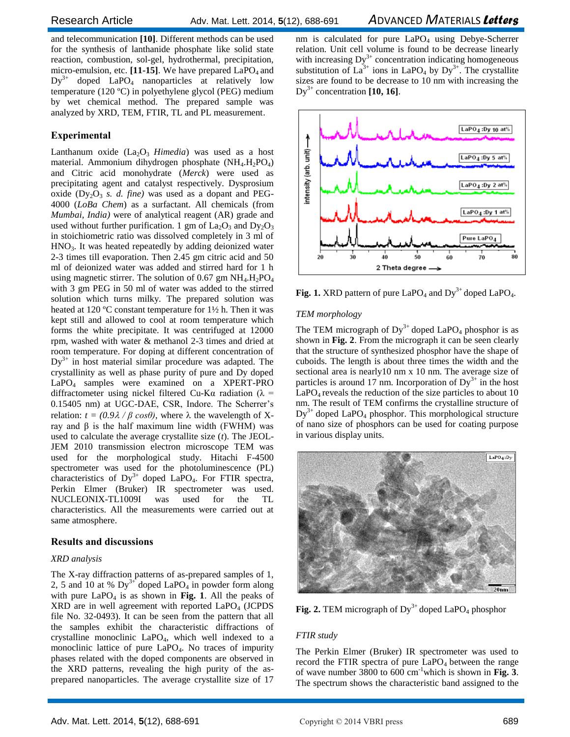and telecommunication **[10]**. Different methods can be used for the synthesis of lanthanide phosphate like solid state reaction, combustion, sol-gel, hydrothermal, precipitation, micro-emulsion, etc. [11-15]. We have prepared LaPO<sub>4</sub> and  $Dy^{3+}$  doped LaPO<sub>4</sub> nanoparticles at relatively low temperature (120 ºC) in polyethylene glycol (PEG) medium by wet chemical method. The prepared sample was analyzed by XRD, TEM, FTIR, TL and PL measurement.

#### **Experimental**

Lanthanum oxide  $(La_2O_3 \ Himedia)$  was used as a host material. Ammonium dihydrogen phosphate  $(NH_4.H_2PO_4)$ and Citric acid monohydrate (*Merck*) were used as precipitating agent and catalyst respectively. Dysprosium oxide  $(Dy<sub>2</sub>O<sub>3</sub> s. d. fine) was used as a dopant and PEG-$ 4000 (*LoBa Chem*) as a surfactant. All chemicals (from *Mumbai, India)* were of analytical reagent (AR) grade and used without further purification. 1 gm of  $La_2O_3$  and  $Dy_2O_3$ in stoichiometric ratio was dissolved completely in 3 ml of HNO3. It was heated repeatedly by adding deionized water 2-3 times till evaporation. Then 2.45 gm citric acid and 50 ml of deionized water was added and stirred hard for 1 h using magnetic stirrer. The solution of 0.67 gm  $NH_4.H_2PO_4$ with 3 gm PEG in 50 ml of water was added to the stirred solution which turns milky. The prepared solution was heated at 120 °C constant temperature for 1½ h. Then it was kept still and allowed to cool at room temperature which forms the white precipitate. It was centrifuged at 12000 rpm, washed with water & methanol 2-3 times and dried at room temperature. For doping at different concentration of  $Dy^{3+}$  in host material similar procedure was adapted. The crystallinity as well as phase purity of pure and Dy doped LaPO<sup>4</sup> samples were examined on a XPERT-PRO diffractometer using nickel filtered Cu-K $\alpha$  radiation ( $\lambda$  = 0.15405 nm) at UGC-DAE, CSR, Indore. The Scherrer's relation:  $t = (0.9\lambda / \beta \cos\theta)$ , where  $\lambda$  the wavelength of Xray and β is the half maximum line width (FWHM) was used to calculate the average crystallite size (*t*). The JEOL-JEM 2010 transmission electron microscope TEM was used for the morphological study. Hitachi F-4500 spectrometer was used for the photoluminescence (PL) characteristics of  $Dy^{3+}$  doped LaPO<sub>4</sub>. For FTIR spectra, Perkin Elmer (Bruker) IR spectrometer was used. NUCLEONIX-TL1009I was used for the TL characteristics. All the measurements were carried out at same atmosphere.

#### **Results and discussions**

#### *XRD analysis*

The X-ray diffraction patterns of as-prepared samples of 1, 2, 5 and 10 at %  $Dy^{3+}$  doped LaPO<sub>4</sub> in powder form along with pure  $LaPO<sub>4</sub>$  is as shown in Fig. 1. All the peaks of  $XRD$  are in well agreement with reported  $LaPO<sub>4</sub>$  (JCPDS) file No. 32-0493). It can be seen from the pattern that all the samples exhibit the characteristic diffractions of crystalline monoclinic  $LaPO<sub>4</sub>$ , which well indexed to a monoclinic lattice of pure LaPO4. No traces of impurity phases related with the doped components are observed in the XRD patterns, revealing the high purity of the asprepared nanoparticles. The average crystallite size of 17

nm is calculated for pure  $LaPO<sub>4</sub>$  using Debye-Scherrer relation. Unit cell volume is found to be decrease linearly with increasing  $Dy^{3+}$  concentration indicating homogeneous substitution of  $La^{3+}$  ions in LaPO<sub>4</sub> by Dy<sup>3+</sup>. The crystallite sizes are found to be decrease to 10 nm with increasing the  $Dy^{3+}$  concentration  $[10, 16]$ .



**Fig. 1.** XRD pattern of pure  $LaPO<sub>4</sub>$  and  $Dy<sup>3+</sup>$  doped  $LaPO<sub>4</sub>$ .

#### *TEM morphology*

The TEM micrograph of  $Dy^{3+}$  doped LaPO<sub>4</sub> phosphor is as shown in **Fig. 2**. From the micrograph it can be seen clearly that the structure of synthesized phosphor have the shape of cuboids. The length is about three times the width and the sectional area is nearly10 nm x 10 nm. The average size of particles is around 17 nm. Incorporation of  $Dy^{3+}$  in the host  $LaPO<sub>4</sub>$  reveals the reduction of the size particles to about 10 nm. The result of TEM confirms the crystalline structure of  $Dy^{3+}$  doped LaPO<sub>4</sub> phosphor. This morphological structure of nano size of phosphors can be used for coating purpose in various display units.



**Fig. 2.** TEM micrograph of Dy<sup>3+</sup> doped LaPO<sub>4</sub> phosphor

#### *FTIR study*

The Perkin Elmer (Bruker) IR spectrometer was used to record the FTIR spectra of pure  $LaPO<sub>4</sub>$  between the range of wave number 3800 to 600 cm-1which is shown in **Fig. 3**. The spectrum shows the characteristic band assigned to the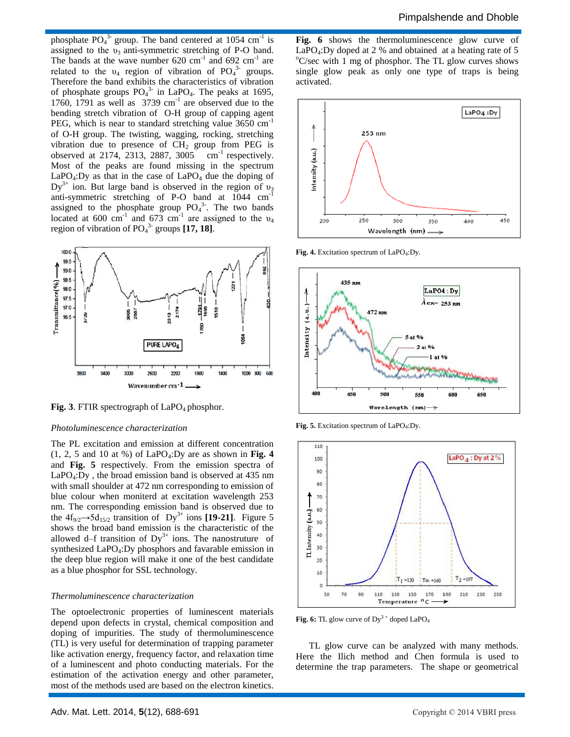phosphate  $PO_4^{3}$  group. The band centered at 1054 cm<sup>-1</sup> is assigned to the  $v_3$  anti-symmetric stretching of P-O band. The bands at the wave number  $620 \text{ cm}^{-1}$  and  $692 \text{ cm}^{-1}$  are related to the  $v_4$  region of vibration of PO<sub>4</sub><sup>3</sup> groups. Therefore the band exhibits the characteristics of vibration of phosphate groups  $PO<sub>4</sub><sup>3</sup>$  in LaPO<sub>4</sub>. The peaks at 1695, 1760, 1791 as well as  $3739 \text{ cm}^{-1}$  are observed due to the bending stretch vibration of O-H group of capping agent PEG, which is near to standard stretching value 3650 cm<sup>-1</sup> of O-H group. The twisting, wagging, rocking, stretching vibration due to presence of  $CH<sub>2</sub>$  group from PEG is observed at 2174, 2313, 2887, 3005  $cm^{-1}$  respectively. Most of the peaks are found missing in the spectrum  $LaPO<sub>4</sub>:Dy$  as that in the case of  $LaPO<sub>4</sub>$  due the doping of  $Dy^{3+}$  ion. But large band is observed in the region of  $v_3$ anti-symmetric stretching of P-O band at 1044 cm-1 assigned to the phosphate group  $PO<sub>4</sub><sup>3</sup>$ . The two bands located at 600 cm<sup>-1</sup> and 673 cm<sup>-1</sup> are assigned to the  $v_4$ region of vibration of PO<sub>4</sub><sup>3-</sup> groups [17, 18].



**Fig. 3**. FTIR spectrograph of LaPO<sub>4</sub> phosphor.

#### *Photoluminescence characterization*

The PL excitation and emission at different concentration  $(1, 2, 5 \text{ and } 10 \text{ at } %)$  of LaPO<sub>4</sub>:Dy are as shown in Fig. 4 and **Fig. 5** respectively. From the emission spectra of LaPO4:Dy , the broad emission band is observed at 435 nm with small shoulder at 472 nm corresponding to emission of blue colour when moniterd at excitation wavelength 253 nm. The corresponding emission band is observed due to the  $4f_{9/2}$   $\rightarrow$  5d<sub>15/2</sub> transition of Dy<sup>3+</sup> ions [19-21]. Figure 5 shows the broad band emission is the characteristic of the allowed d–f transition of  $Dy^{3+}$  ions. The nanostruture of synthesized LaPO<sub>4</sub>: Dy phosphors and favarable emission in the deep blue region will make it one of the best candidate as a blue phosphor for SSL technology.

#### *Thermoluminescence characterization*

The optoelectronic properties of luminescent materials depend upon defects in crystal, chemical composition and doping of impurities. The study of thermoluminescence (TL) is very useful for determination of trapping parameter like activation energy, frequency factor, and relaxation time of a luminescent and photo conducting materials. For the estimation of the activation energy and other parameter, most of the methods used are based on the electron kinetics. Fig. 6 shows the thermoluminescence glow curve of LaPO<sub>4</sub>:Dy doped at 2 % and obtained at a heating rate of 5  $\rm{^o}C/sec$  with 1 mg of phosphor. The TL glow curves shows single glow peak as only one type of traps is being activated.



Fig. 4. Excitation spectrum of LaPO<sub>4</sub>:Dy.



Fig. 5. Excitation spectrum of LaPO<sub>4</sub>:Dy.



Fig. 6: TL glow curve of Dy<sup>3+</sup> doped LaPO<sub>4</sub>

TL glow curve can be analyzed with many methods. Here the Ilich method and Chen formula is used to determine the trap parameters. The shape or geometrical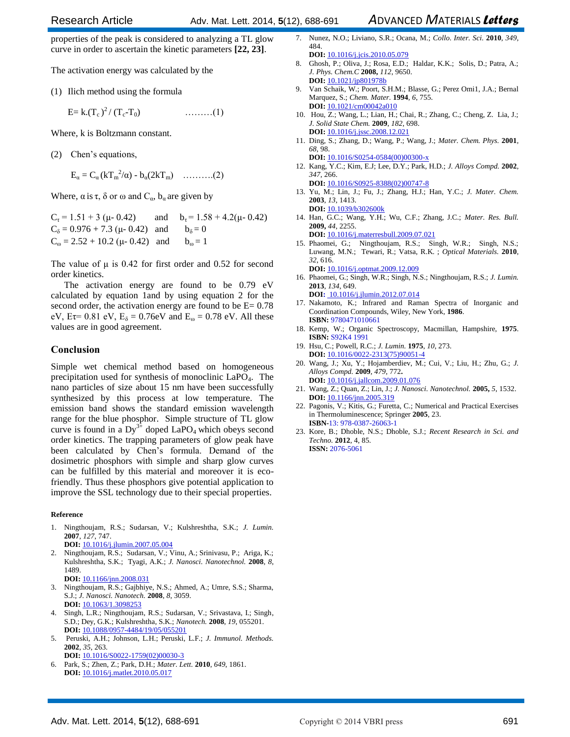properties of the peak is considered to analyzing a TL glow curve in order to ascertain the kinetic parameters **[22, 23]**.

The activation energy was calculated by the

(1) Ilich method using the formula

$$
E = k.(T_c)^2 / (T_c - T_0)
$$
 (1)

Where, k is Boltzmann constant.

(2) Chen's equations,

$$
E_{\alpha}=C_{\alpha}(kT_m^2/\alpha)-b_{\alpha}(2kT_m)\quad\ldots\ldots\ldots (2)
$$

Where,  $\alpha$  is  $\tau$ ,  $\delta$  or  $\omega$  and  $C_{\alpha}$ ,  $b_{\alpha}$  are given by

 $C_{\tau} = 1.51 + 3 (\mu - 0.42)$  and  $b_{\tau} = 1.58 + 4.2(\mu - 0.42)$  $C_{\delta} = 0.976 + 7.3 \ (\mu - 0.42)$  and  $b_{\delta} = 0$  $C_{\omega} = 2.52 + 10.2$  (μ- 0.42) and  $b_{\omega} = 1$ 

The value of  $\mu$  is 0.42 for first order and 0.52 for second order kinetics.

The activation energy are found to be 0.79 eV calculated by equation 1and by using equation 2 for the second order, the activation energy are found to be  $E = 0.78$ eV, Eτ= 0.81 eV,  $E_{\delta} = 0.76$ eV and  $E_{\omega} = 0.78$  eV. All these values are in good agreement.

#### **Conclusion**

Simple wet chemical method based on homogeneous precipitation used for synthesis of monoclinic LaPO4. The nano particles of size about 15 nm have been successfully synthesized by this process at low temperature. The emission band shows the standard emission wavelength range for the blue phosphor. Simple structure of TL glow curve is found in a  $Dy^{3+}$  doped LaPO<sub>4</sub> which obeys second order kinetics. The trapping parameters of glow peak have been calculated by Chen's formula. Demand of the dosimetric phosphors with simple and sharp glow curves can be fulfilled by this material and moreover it is ecofriendly. Thus these phosphors give potential application to improve the SSL technology due to their special properties.

#### **Reference**

- 1. Ningthoujam, R.S.; Sudarsan, V.; Kulshreshtha, S.K.; *J. Lumin.* **2007**, *127*, 747. **DOI:** 10.1016/j.jlumin.2007.05.004
- 2. Ningthoujam, R.S.; Sudarsan, V.; Vinu, A.; Srinivasu, P.; Ariga, K.; Kulshreshtha, S.K.; Tyagi, A.K.; *J. Nanosci. Nanotechnol.* **2008**, *8*, 1489. **DOI:** 10.1166/jnn.2008.031
- 3. Ningthoujam, R.S.; Gajbhiye, N.S.; Ahmed, A.; Umre, S.S.; Sharma, S.J.; *J. Nanosci. Nanotech.* **2008**, *8*, 3059. **DOI:** 10.1063/1.3098253
- 4. Singh, L.R.; Ningthoujam, R.S.; Sudarsan, V.; Srivastava, I.; Singh, S.D.; Dey, G.K.; Kulshreshtha, S.K.; *Nanotech.* **2008**, *19*, 055201. **DOI:** 10.1088/0957-4484/19/05/055201
- 5. Peruski, A.H.; Johnson, L.H.; Peruski, L.F.; *J. Immunol. Methods.* **2002**, *35*, 263.

**DOI:** 10.1016/S0022-1759(02)00030-3 6. Park, S.; Zhen, Z.; Park, D.H.; *Mater. Lett.* **2010**, *649*, 1861.

**DOI:** 10.1016/j.matlet.2010.05.017

- 7. Nunez, N.O.; Liviano, S.R.; Ocana, M.; *Collo. Inter. Sci.* **2010**, *349*, 484.
- **DOI:** 10.1016/j.jcis.2010.05.079 8. Ghosh, P.; Oliva, J.; Rosa, E.D.; Haldar, K.K.; Solis, D.; Patra, A.; *J. Phys. Chem.C* **2008,** *112*, 9650. **DOI:** 10.1021/jp801978b
- 9. Van Schaik, W.; Poort, S.H.M.; Blasse, G.; Perez Omi1, J.A.; Bernal Marquez, S.; *Chem. Mater.* **1994**, *6*, 755. **DOI:** 10.1021/cm00042a010
- 10. Hou, Z.; Wang, L.; Lian, H.; Chai, R.; Zhang, C.; Cheng, Z. Lia, J.; *J. Solid State Chem.* **2009**, *182*, 698. **DOI:** 10.1016/j.jssc.2008.12.021
- 11. Ding, S.; Zhang, D.; Wang, P.; Wang, J.; *Mater. Chem. Phys.* **2001**, *68*, 98. **DOI:** 10.1016/S0254-0584(00)00300-x
- 12. Kang, Y.C.; Kim, E.J; Lee, D.Y.; Park, H.D.; *J. Alloys Compd.* **2002**, *347*, 266.
- **DOI:** 10.1016/S0925-8388(02)00747-8 13. Yu, M.; Lin, J.; Fu, J.; Zhang, H.J.; Han, Y.C.; *J. Mater. Chem.* **2003**, *13*, 1413. **DOI:** 10.1039/b302600k
- 14. Han, G.C.; Wang, Y.H.; Wu, C.F.; Zhang, J.C.; *Mater. Res. Bull.* **2009,** *44*, 2255.

**DOI:** 10.1016/j.materresbull.2009.07.021 15. Phaomei, G.; Ningthoujam, R.S.; Singh, W.R.; Singh, N.S.; Luwang, M.N.; Tewari, R.; Vatsa, R.K. ; *Optical Materials.* **2010**, *32*, 616. **DOI:** 10.1016/j.optmat.2009.12.009

- 16. Phaomei, G.; Singh, W.R.; Singh, N.S.; Ningthoujam, R.S.; *J. Lumin.* **2013**, *134*, 649.
- **DOI:** 10.1016/j.jlumin.2012.07.014 17. Nakamoto, K.; Infrared and Raman Spectra of Inorganic and Coordination Compounds, Wiley, New York, **1986**. **ISBN:** 9780471010661
- 18. Kemp, W.; Organic Spectroscopy, Macmillan, Hampshire, **1975**. **ISBN:** S92K4 1991
- 19. Hsu, C.; Powell, R.C.; *J. Lumin.* **1975**, *10*, 273. **DOI:** 10.1016/0022-2313(75)90051-4
- 20. Wang, J.; Xu, Y.; Hojamberdiev, M.; Cui, V.; Liu, H.; Zhu, G.; *J. Alloys Compd.* **2009**, *479*, 772**. DOI:** 10.1016/j.jallcom.2009.01.076
- 21. Wang, Z.; Quan, Z.; Lin, J.; *J. Nanosci. Nanotechnol.* **2005,** *5*, 1532. **DOI:** 10.1166/jnn.2005.319
- 22. Pagonis, V.; Kitis, G.; Furetta, C.; Numerical and Practical Exercises in Thermoluminescence; Springer **2005**, 23. **ISBN-**13: 978-0387-26063-1
- 23. Kore, B.; Dhoble, N.S.; Dhoble, S.J.; *Recent Research in Sci. and Techno.* **2012**, 4, 85. **ISSN:** 2076-5061